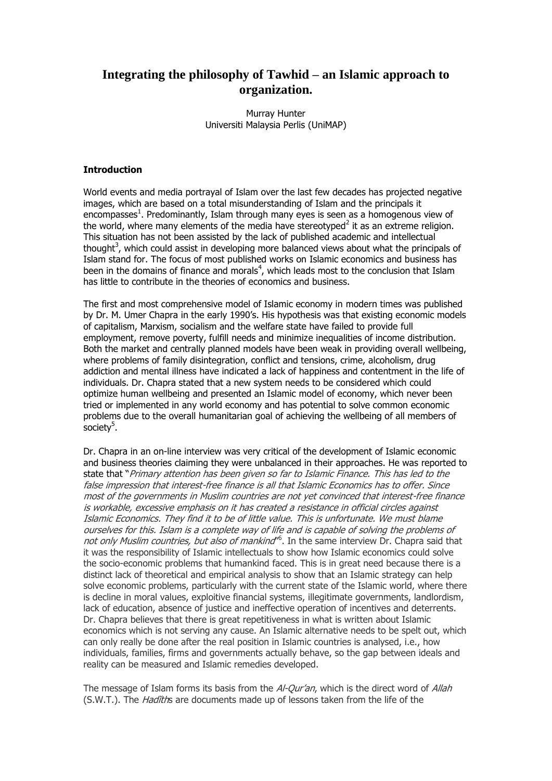# **Integrating the philosophy of Tawhid – an Islamic approach to organization.**

Murray Hunter Universiti Malaysia Perlis (UniMAP)

#### **Introduction**

World events and media portrayal of Islam over the last few decades has projected negative images, which are based on a total misunderstanding of Islam and the principals it encompasses<sup>1</sup>. Predominantly, Islam through many eyes is seen as a homogenous view of the world, where many elements of the media have stereotyped<sup>2</sup> it as an extreme religion. This situation has not been assisted by the lack of published academic and intellectual thought<sup>3</sup>, which could assist in developing more balanced views about what the principals of Islam stand for. The focus of most published works on Islamic economics and business has been in the domains of finance and morals<sup>4</sup>, which leads most to the conclusion that Islam has little to contribute in the theories of economics and business.

The first and most comprehensive model of Islamic economy in modern times was published by Dr. M. Umer Chapra in the early 1990"s. His hypothesis was that existing economic models of capitalism, Marxism, socialism and the welfare state have failed to provide full employment, remove poverty, fulfill needs and minimize inequalities of income distribution. Both the market and centrally planned models have been weak in providing overall wellbeing, where problems of family disintegration, conflict and tensions, crime, alcoholism, drug addiction and mental illness have indicated a lack of happiness and contentment in the life of individuals. Dr. Chapra stated that a new system needs to be considered which could optimize human wellbeing and presented an Islamic model of economy, which never been tried or implemented in any world economy and has potential to solve common economic problems due to the overall humanitarian goal of achieving the wellbeing of all members of society<sup>5</sup>.

Dr. Chapra in an on-line interview was very critical of the development of Islamic economic and business theories claiming they were unbalanced in their approaches. He was reported to state that "Primary attention has been given so far to Islamic Finance. This has led to the false impression that interest-free finance is all that Islamic Economics has to offer. Since most of the governments in Muslim countries are not yet convinced that interest-free finance is workable, excessive emphasis on it has created a resistance in official circles against Islamic Economics. They find it to be of little value. This is unfortunate. We must blame ourselves for this. Islam is a complete way of life and is capable of solving the problems of not only Muslim countries, but also of mankind<sup>r6</sup>. In the same interview Dr. Chapra said that it was the responsibility of Islamic intellectuals to show how Islamic economics could solve the socio-economic problems that humankind faced. This is in great need because there is a distinct lack of theoretical and empirical analysis to show that an Islamic strategy can help solve economic problems, particularly with the current state of the Islamic world, where there is decline in moral values, exploitive financial systems, illegitimate governments, landlordism, lack of education, absence of justice and ineffective operation of incentives and deterrents. Dr. Chapra believes that there is great repetitiveness in what is written about Islamic economics which is not serving any cause. An Islamic alternative needs to be spelt out, which can only really be done after the real position in Islamic countries is analysed, i.e., how individuals, families, firms and governments actually behave, so the gap between ideals and reality can be measured and Islamic remedies developed.

The message of Islam forms its basis from the Al-Qur'an, which is the direct word of Allah (S.W.T.). The *Hadïth*s are documents made up of lessons taken from the life of the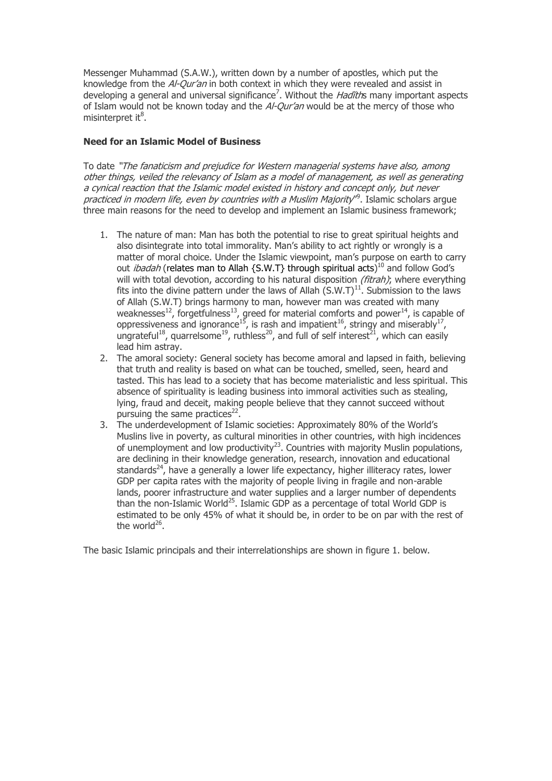Messenger Muhammad (S.A.W.), written down by a number of apostles, which put the knowledge from the *Al-Our'an* in both context in which they were revealed and assist in developing a general and universal significance<sup>7</sup>. Without the *Hadïth*s many important aspects of Islam would not be known today and the Al-Qur'an would be at the mercy of those who misinterpret it<sup>8</sup>.

## **Need for an Islamic Model of Business**

To date "The fanaticism and prejudice for Western managerial systems have also, among other things, veiled the relevancy of Islam as a model of management, as well as generating a cynical reaction that the Islamic model existed in history and concept only, but never practiced in modern life, even by countries with a Muslim Majority<sup>r9</sup>. Islamic scholars argue three main reasons for the need to develop and implement an Islamic business framework;

- 1. The nature of man: Man has both the potential to rise to great spiritual heights and also disintegrate into total immorality. Man"s ability to act rightly or wrongly is a matter of moral choice. Under the Islamic viewpoint, man"s purpose on earth to carry out *ibadah* (relates man to Allah {S.W.T} through spiritual acts)<sup>10</sup> and follow God's will with total devotion, according to his natural disposition *(fitrah)*; where everything fits into the divine pattern under the laws of Allah  $(S.W.T)^{11}$ . Submission to the laws of Allah (S.W.T) brings harmony to man, however man was created with many weaknesses<sup>12</sup>, forgetfulness<sup>13</sup>, greed for material comforts and power<sup>14</sup>, is capable of oppressiveness and ignorance<sup>15</sup>, is rash and impatient<sup>16</sup>, stringy and miserably<sup>17</sup>, ungrateful<sup>18</sup>, quarrelsome<sup>19</sup>, ruthless<sup>20</sup>, and full of self interest<sup>21</sup>, which can easily lead him astray.
- 2. The amoral society: General society has become amoral and lapsed in faith, believing that truth and reality is based on what can be touched, smelled, seen, heard and tasted. This has lead to a society that has become materialistic and less spiritual. This absence of spirituality is leading business into immoral activities such as stealing, lying, fraud and deceit, making people believe that they cannot succeed without pursuing the same practices $^{22}$ .
- 3. The underdevelopment of Islamic societies: Approximately 80% of the World"s Muslins live in poverty, as cultural minorities in other countries, with high incidences of unemployment and low productivity<sup>23</sup>. Countries with majority Muslin populations, are declining in their knowledge generation, research, innovation and educational standards<sup>24</sup>, have a generally a lower life expectancy, higher illiteracy rates, lower GDP per capita rates with the majority of people living in fragile and non-arable lands, poorer infrastructure and water supplies and a larger number of dependents than the non-Islamic World<sup>25</sup>. Islamic GDP as a percentage of total World GDP is estimated to be only 45% of what it should be, in order to be on par with the rest of the world<sup>26</sup>.

The basic Islamic principals and their interrelationships are shown in figure 1. below.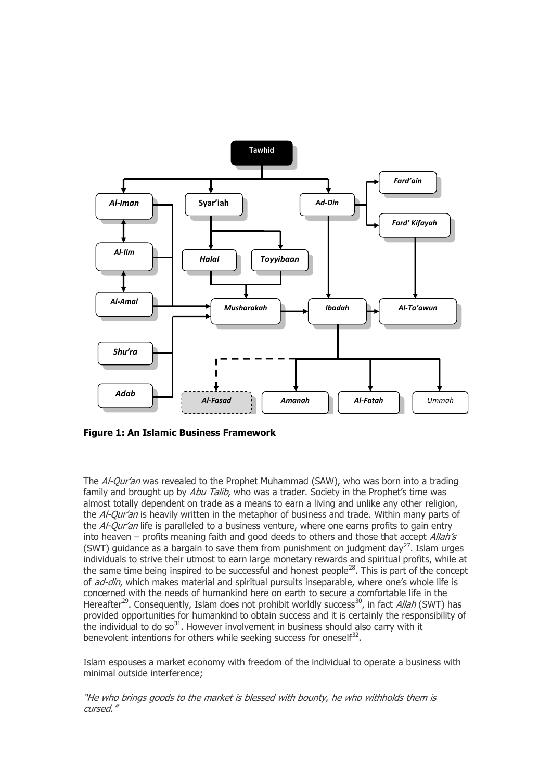

**Figure 1: An Islamic Business Framework**

The Al-Qur'an was revealed to the Prophet Muhammad (SAW), who was born into a trading family and brought up by Abu Talib, who was a trader. Society in the Prophet's time was almost totally dependent on trade as a means to earn a living and unlike any other religion, the Al-Qur'an is heavily written in the metaphor of business and trade. Within many parts of the Al-Qur'an life is paralleled to a business venture, where one earns profits to gain entry into heaven – profits meaning faith and good deeds to others and those that accept  $Allah's$ (SWT) guidance as a bargain to save them from punishment on judgment day<sup>27</sup>. Islam urges individuals to strive their utmost to earn large monetary rewards and spiritual profits, while at the same time being inspired to be successful and honest people<sup>28</sup>. This is part of the concept of *ad-din*, which makes material and spiritual pursuits inseparable, where one's whole life is concerned with the needs of humankind here on earth to secure a comfortable life in the Hereafter<sup>29</sup>. Consequently, Islam does not prohibit worldly success<sup>30</sup>, in fact *Allah* (SWT) has provided opportunities for humankind to obtain success and it is certainly the responsibility of the individual to do  $\pi$ <sup>31</sup>. However involvement in business should also carry with it benevolent intentions for others while seeking success for oneself $^{32}$ .

Islam espouses a market economy with freedom of the individual to operate a business with minimal outside interference;

"He who brings goods to the market is blessed with bounty, he who withholds them is cursed."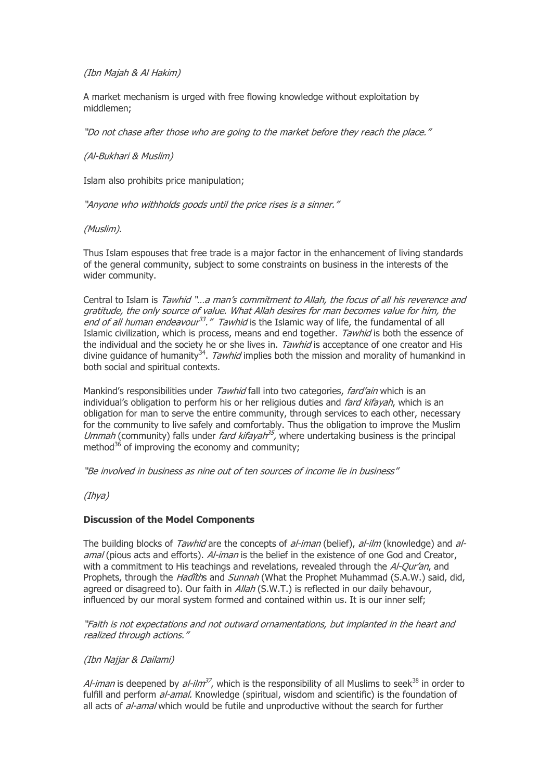## (Ibn Majah & Al Hakim)

A market mechanism is urged with free flowing knowledge without exploitation by middlemen;

"Do not chase after those who are going to the market before they reach the place."

#### (Al-Bukhari & Muslim)

Islam also prohibits price manipulation;

"Anyone who withholds goods until the price rises is a sinner."

#### (Muslim).

Thus Islam espouses that free trade is a major factor in the enhancement of living standards of the general community, subject to some constraints on business in the interests of the wider community.

Central to Islam is Tawhid "...a man's commitment to Allah, the focus of all his reverence and gratitude, the only source of value. What Allah desires for man becomes value for him, the end of all human endeavour<sup>33</sup>." Tawhid is the Islamic way of life, the fundamental of all Islamic civilization, which is process, means and end together. *Tawhid* is both the essence of the individual and the society he or she lives in. Tawhid is acceptance of one creator and His divine guidance of humanity<sup>34</sup>. Tawhid implies both the mission and morality of humankind in both social and spiritual contexts.

Mankind's responsibilities under *Tawhid* fall into two categories, *fard'ain* which is an individual's obligation to perform his or her religious duties and *fard kifayah*, which is an obligation for man to serve the entire community, through services to each other, necessary for the community to live safely and comfortably. Thus the obligation to improve the Muslim Ummah (community) falls under *fard kifayah*<sup>35</sup>, where undertaking business is the principal method $36$  of improving the economy and community;

"Be involved in business as nine out of ten sources of income lie in business"

(Ihya)

## **Discussion of the Model Components**

The building blocks of *Tawhid* are the concepts of *al-iman* (belief), *al-ilm* (knowledge) and *al*amal (pious acts and efforts). Al-iman is the belief in the existence of one God and Creator. with a commitment to His teachings and revelations, revealed through the Al-Our'an, and Prophets, through the *Hadĭth*s and *Sunnah* (What the Prophet Muhammad (S.A.W.) said, did, agreed or disagreed to). Our faith in *Allah* (S.W.T.) is reflected in our daily behavour, influenced by our moral system formed and contained within us. It is our inner self;

"Faith is not expectations and not outward ornamentations, but implanted in the heart and realized through actions."

(Ibn Najjar & Dailami)

Al-iman is deepened by al-ilm<sup>37</sup>, which is the responsibility of all Muslims to seek<sup>38</sup> in order to fulfill and perform al-amal. Knowledge (spiritual, wisdom and scientific) is the foundation of all acts of *al-amal* which would be futile and unproductive without the search for further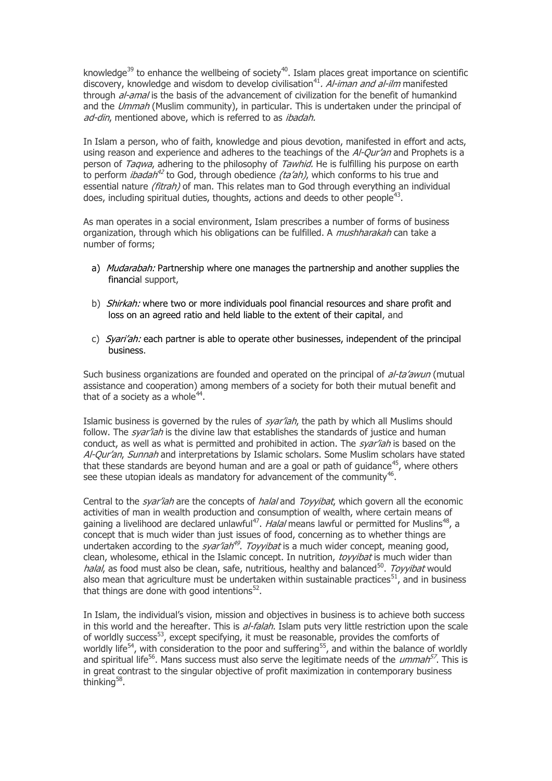knowledge<sup>39</sup> to enhance the wellbeing of society<sup>40</sup>. Islam places great importance on scientific discovery, knowledge and wisdom to develop civilisation<sup>41</sup>. Al-iman and al-ilm manifested through *al-amal* is the basis of the advancement of civilization for the benefit of humankind and the Ummah (Muslim community), in particular. This is undertaken under the principal of ad-din, mentioned above, which is referred to as ibadah.

In Islam a person, who of faith, knowledge and pious devotion, manifested in effort and acts, using reason and experience and adheres to the teachings of the *Al-Qur'an* and Prophets is a person of *Taqwa*, adhering to the philosophy of *Tawhid*. He is fulfilling his purpose on earth to perform *ibadah<sup>42</sup>* to God, through obedience *(ta'ah)*, which conforms to his true and essential nature *(fitrah)* of man. This relates man to God through everything an individual does, including spiritual duties, thoughts, actions and deeds to other people<sup>43</sup>.

As man operates in a social environment, Islam prescribes a number of forms of business organization, through which his obligations can be fulfilled. A *mushharakah* can take a number of forms;

- a) Mudarabah: Partnership where one manages the partnership and another supplies the financial support,
- b) *Shirkah:* where two or more individuals pool financial resources and share profit and loss on an agreed ratio and held liable to the extent of their capital, and
- c) Syari'ah: each partner is able to operate other businesses, independent of the principal business.

Such business organizations are founded and operated on the principal of al-ta'awun (mutual assistance and cooperation) among members of a society for both their mutual benefit and that of a society as a whole $44$ .

Islamic business is governed by the rules of  $s\gamma\gamma$  and the path by which all Muslims should follow. The *svar'iah* is the divine law that establishes the standards of justice and human conduct, as well as what is permitted and prohibited in action. The *syar'iah* is based on the Al-Our'an, Sunnah and interpretations by Islamic scholars. Some Muslim scholars have stated that these standards are beyond human and are a goal or path of guidance<sup>45</sup>, where others see these utopian ideals as mandatory for advancement of the community $46$ .

Central to the *syar'iah* are the concepts of *halal* and *Toyyibat*, which govern all the economic activities of man in wealth production and consumption of wealth, where certain means of gaining a livelihood are declared unlawful<sup>47</sup>. *Halal* means lawful or permitted for Muslins<sup>48</sup>, a concept that is much wider than just issues of food, concerning as to whether things are undertaken according to the *syar'iah<sup>49</sup>. Toyyibat* is a much wider concept, meaning good, clean, wholesome, ethical in the Islamic concept. In nutrition, *toyyibat* is much wider than halal, as food must also be clean, safe, nutritious, healthy and balanced<sup>50</sup>. Toyyibat would also mean that agriculture must be undertaken within sustainable practices<sup>51</sup>, and in business that things are done with good intentions $52$ .

In Islam, the individual"s vision, mission and objectives in business is to achieve both success in this world and the hereafter. This is al-falah. Islam puts very little restriction upon the scale of worldly success<sup>53</sup>, except specifying, it must be reasonable, provides the comforts of worldly life<sup>54</sup>, with consideration to the poor and suffering<sup>55</sup>, and within the balance of worldly and spiritual life<sup>56</sup>. Mans success must also serve the legitimate needs of the *ummah<sup>57</sup>*. This is in great contrast to the singular objective of profit maximization in contemporary business thinking<sup>58</sup>.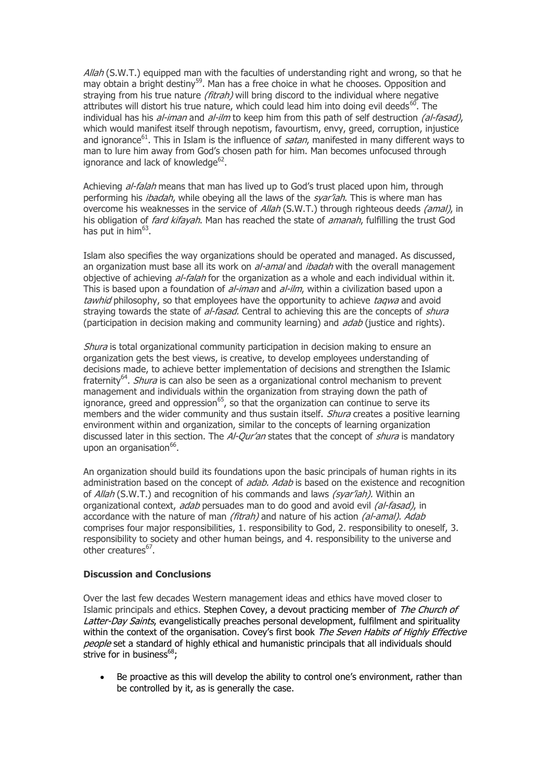$A$ llah (S.W.T.) equipped man with the faculties of understanding right and wrong, so that he may obtain a bright destiny<sup>59</sup>. Man has a free choice in what he chooses. Opposition and straying from his true nature (fitrah) will bring discord to the individual where negative attributes will distort his true nature, which could lead him into doing evil deeds<sup>60</sup>. The individual has his  $al$ -iman and  $al$ -ilm to keep him from this path of self destruction (al-fasad), which would manifest itself through nepotism, favourtism, envy, greed, corruption, injustice and ignorance<sup>61</sup>. This in Islam is the influence of satan, manifested in many different ways to man to lure him away from God"s chosen path for him. Man becomes unfocused through ignorance and lack of knowledge<sup>62</sup>.

Achieving *al-falah* means that man has lived up to God's trust placed upon him, through performing his *ibadah*, while obeying all the laws of the *syar'iah*. This is where man has overcome his weaknesses in the service of Allah (S.W.T.) through righteous deeds (amal), in his obligation of *fard kifayah*. Man has reached the state of *amanah*, fulfilling the trust God has put in him<sup>63</sup>.

Islam also specifies the way organizations should be operated and managed. As discussed, an organization must base all its work on al-amal and ibadah with the overall management objective of achieving al-falah for the organization as a whole and each individual within it. This is based upon a foundation of *al-iman* and *al-ilm*, within a civilization based upon a tawhid philosophy, so that employees have the opportunity to achieve taqwa and avoid straying towards the state of al-fasad. Central to achieving this are the concepts of shura (participation in decision making and community learning) and *adab* (justice and rights).

Shura is total organizational community participation in decision making to ensure an organization gets the best views, is creative, to develop employees understanding of decisions made, to achieve better implementation of decisions and strengthen the Islamic fraternity<sup>64</sup>. *Shura* is can also be seen as a organizational control mechanism to prevent management and individuals within the organization from straying down the path of ignorance, greed and oppression $^{65}$ , so that the organization can continue to serve its members and the wider community and thus sustain itself. *Shura* creates a positive learning environment within and organization, similar to the concepts of learning organization discussed later in this section. The  $A$ -Our'an states that the concept of  $shura$  is mandatory upon an organisation<sup>66</sup>.

An organization should build its foundations upon the basic principals of human rights in its administration based on the concept of *adab. Adab* is based on the existence and recognition of *Allah* (S.W.T.) and recognition of his commands and laws *(syar'iah)*. Within an organizational context, adab persuades man to do good and avoid evil (al-fasad), in accordance with the nature of man *(fitrah)* and nature of his action *(al-amal). Adab* comprises four major responsibilities, 1. responsibility to God, 2. responsibility to oneself, 3. responsibility to society and other human beings, and 4. responsibility to the universe and other creatures<sup>67</sup>.

## **Discussion and Conclusions**

Over the last few decades Western management ideas and ethics have moved closer to Islamic principals and ethics. Stephen Covey, a devout practicing member of The Church of Latter-Day Saints, evangelistically preaches personal development, fulfilment and spirituality within the context of the organisation. Covey's first book The Seven Habits of Highly Effective people set a standard of highly ethical and humanistic principals that all individuals should strive for in business $68$ ;

Be proactive as this will develop the ability to control one's environment, rather than be controlled by it, as is generally the case.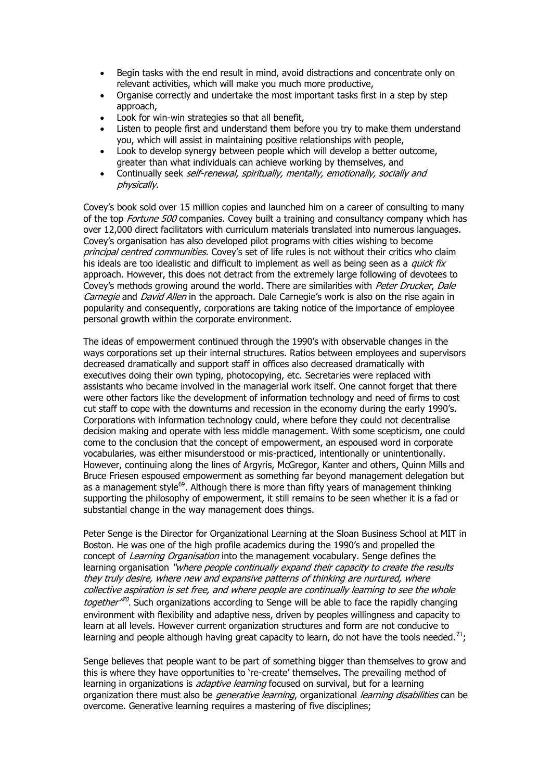- Begin tasks with the end result in mind, avoid distractions and concentrate only on relevant activities, which will make you much more productive,
- Organise correctly and undertake the most important tasks first in a step by step approach,
- Look for win-win strategies so that all benefit,
- Listen to people first and understand them before you try to make them understand you, which will assist in maintaining positive relationships with people,
- Look to develop synergy between people which will develop a better outcome, greater than what individuals can achieve working by themselves, and
- Continually seek self-renewal, spiritually, mentally, emotionally, socially and physically.

Covey"s book sold over 15 million copies and launched him on a career of consulting to many of the top Fortune 500 companies. Covey built a training and consultancy company which has over 12,000 direct facilitators with curriculum materials translated into numerous languages. Covey"s organisation has also developed pilot programs with cities wishing to become principal centred communities. Covey's set of life rules is not without their critics who claim his ideals are too idealistic and difficult to implement as well as being seen as a *quick fix* approach. However, this does not detract from the extremely large following of devotees to Covey's methods growing around the world. There are similarities with Peter Drucker, Dale Carnegie and David Allen in the approach. Dale Carnegie's work is also on the rise again in popularity and consequently, corporations are taking notice of the importance of employee personal growth within the corporate environment.

The ideas of empowerment continued through the 1990"s with observable changes in the ways corporations set up their internal structures. Ratios between employees and supervisors decreased dramatically and support staff in offices also decreased dramatically with executives doing their own typing, photocopying, etc. Secretaries were replaced with assistants who became involved in the managerial work itself. One cannot forget that there were other factors like the development of information technology and need of firms to cost cut staff to cope with the downturns and recession in the economy during the early 1990"s. Corporations with information technology could, where before they could not decentralise decision making and operate with less middle management. With some scepticism, one could come to the conclusion that the concept of empowerment, an espoused word in corporate vocabularies, was either misunderstood or mis-practiced, intentionally or unintentionally. However, continuing along the lines of Argyris, McGregor, Kanter and others, Quinn Mills and Bruce Friesen espoused empowerment as something far beyond management delegation but as a management style<sup>69</sup>. Although there is more than fifty years of management thinking supporting the philosophy of empowerment, it still remains to be seen whether it is a fad or substantial change in the way management does things.

Peter Senge is the Director for Organizational Learning at the Sloan Business School at MIT in Boston. He was one of the high profile academics during the 1990"s and propelled the concept of Learning Organisation into the management vocabulary. Senge defines the learning organisation "where people continually expand their capacity to create the results they truly desire, where new and expansive patterns of thinking are nurtured, where collective aspiration is set free, and where people are continually learning to see the whole together<sup>no</sup>. Such organizations according to Senge will be able to face the rapidly changing environment with flexibility and adaptive ness, driven by peoples willingness and capacity to learn at all levels. However current organization structures and form are not conducive to learning and people although having great capacity to learn, do not have the tools needed.<sup>71</sup>;

Senge believes that people want to be part of something bigger than themselves to grow and this is where they have opportunities to "re-create" themselves. The prevailing method of learning in organizations is *adaptive learning* focused on survival, but for a learning organization there must also be *generative learning,* organizational *learning disabilities* can be overcome. Generative learning requires a mastering of five disciplines;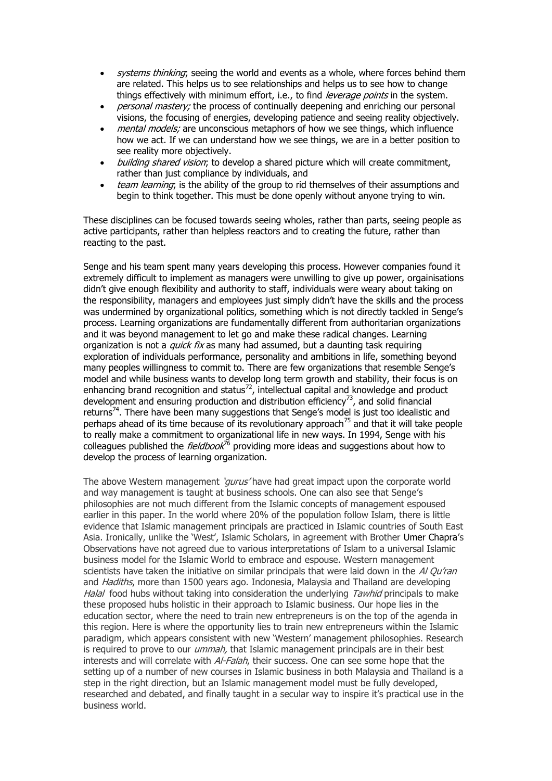- systems thinking; seeing the world and events as a whole, where forces behind them are related. This helps us to see relationships and helps us to see how to change things effectively with minimum effort, i.e., to find leverage points in the system.
- personal mastery; the process of continually deepening and enriching our personal visions, the focusing of energies, developing patience and seeing reality objectively.
- mental models; are unconscious metaphors of how we see things, which influence how we act. If we can understand how we see things, we are in a better position to see reality more objectively.
- building shared vision; to develop a shared picture which will create commitment, rather than just compliance by individuals, and
- team learning; is the ability of the group to rid themselves of their assumptions and begin to think together. This must be done openly without anyone trying to win.

These disciplines can be focused towards seeing wholes, rather than parts, seeing people as active participants, rather than helpless reactors and to creating the future, rather than reacting to the past.

Senge and his team spent many years developing this process. However companies found it extremely difficult to implement as managers were unwilling to give up power, orgainisations didn"t give enough flexibility and authority to staff, individuals were weary about taking on the responsibility, managers and employees just simply didn"t have the skills and the process was undermined by organizational politics, something which is not directly tackled in Senge's process. Learning organizations are fundamentally different from authoritarian organizations and it was beyond management to let go and make these radical changes. Learning organization is not a *quick fix* as many had assumed, but a daunting task requiring exploration of individuals performance, personality and ambitions in life, something beyond many peoples willingness to commit to. There are few organizations that resemble Senge"s model and while business wants to develop long term growth and stability, their focus is on enhancing brand recognition and status $^{72}$ , intellectual capital and knowledge and product development and ensuring production and distribution efficiency<sup>73</sup>, and solid financial returns<sup>74</sup>. There have been many suggestions that Senge's model is just too idealistic and perhaps ahead of its time because of its revolutionary approach<sup>75</sup> and that it will take people to really make a commitment to organizational life in new ways. In 1994, Senge with his colleagues published the  $\ell$ ieldbook<sup>76</sup> providing more ideas and suggestions about how to develop the process of learning organization.

The above Western management 'qurus' have had great impact upon the corporate world and way management is taught at business schools. One can also see that Senge"s philosophies are not much different from the Islamic concepts of management espoused earlier in this paper. In the world where 20% of the population follow Islam, there is little evidence that Islamic management principals are practiced in Islamic countries of South East Asia. Ironically, unlike the 'West', Islamic Scholars, in agreement with Brother Umer Chapra's Observations have not agreed due to various interpretations of Islam to a universal Islamic business model for the Islamic World to embrace and espouse. Western management scientists have taken the initiative on similar principals that were laid down in the  $A$  Qu'ran and *Hadiths*, more than 1500 years ago. Indonesia, Malaysia and Thailand are developing Halal food hubs without taking into consideration the underlying Tawhid principals to make these proposed hubs holistic in their approach to Islamic business. Our hope lies in the education sector, where the need to train new entrepreneurs is on the top of the agenda in this region. Here is where the opportunity lies to train new entrepreneurs within the Islamic paradigm, which appears consistent with new "Western" management philosophies. Research is required to prove to our *ummah*, that Islamic management principals are in their best interests and will correlate with Al-Falah, their success. One can see some hope that the setting up of a number of new courses in Islamic business in both Malaysia and Thailand is a step in the right direction, but an Islamic management model must be fully developed, researched and debated, and finally taught in a secular way to inspire it's practical use in the business world.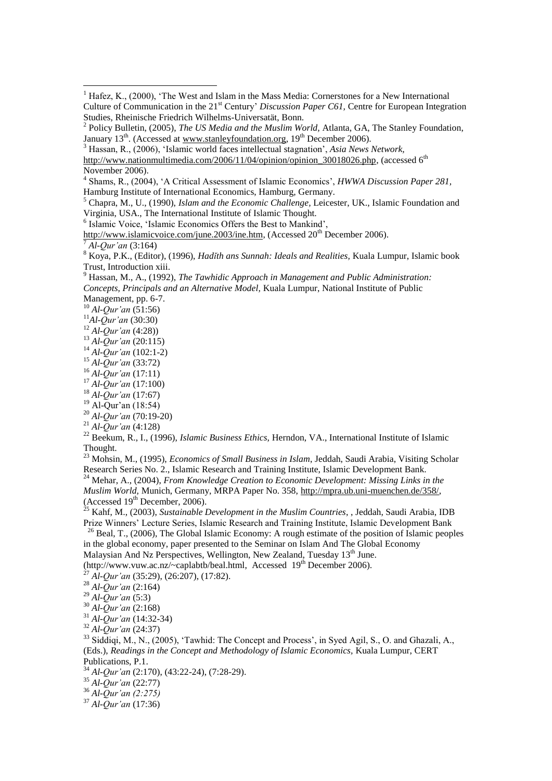<sup>3</sup> Hassan, R., (2006), 'Islamic world faces intellectual stagnation', *Asia News Network,*

[http://www.nationmultimedia.com/2006/11/04/opinion/opinion\\_30018026.php,](http://www.nationmultimedia.com/2006/11/04/opinion/opinion_30018026.php) (accessed 6<sup>th</sup> November 2006).

Hamburg Institute of International Economics, Hamburg, Germany.

6 Islamic Voice, 'Islamic Economics Offers the Best to Mankind',

[http://www.islamicvoice.com/june.2003/ine.htm,](http://www.islamicvoice.com/june.2003/ine.htm) (Accessed 20<sup>th</sup> December 2006). <sup>7</sup> *Al-Qur'an* (3:164)

<sup>9</sup> Hassan, M., A., (1992), *The Tawhidic Approach in Management and Public Administration: Concepts, Principals and an Alternative Model,* Kuala Lumpur, National Institute of Public Management, pp. 6-7.

<sup>10</sup> *Al-Qur'an* (51:56)

1

<sup>11</sup>*Al-Qur'an* (30:30)

- <sup>12</sup> *Al-Qur'an* (4:28))
- <sup>13</sup> *Al-Qur'an* (20:115)
- <sup>14</sup> *Al-Qur'an* (102:1-2)
- <sup>15</sup> *Al-Qur'an* (33:72)
- <sup>16</sup> *Al-Qur'an* (17:11)
- <sup>17</sup> *Al-Qur'an* (17:100)
- <sup>18</sup> *Al-Qur'an* (17:67)
- <sup>19</sup> Al-Qur'an (18:54)
- <sup>20</sup> *Al-Qur'an* (70:19-20)
- <sup>21</sup> *Al-Qur'an* (4:128)

<sup>22</sup> Beekum, R., I., (1996), *Islamic Business Ethics,* Herndon, VA., International Institute of Islamic Thought.

<sup>23</sup> Mohsin, M., (1995), *Economics of Small Business in Islam*, Jeddah, Saudi Arabia, Visiting Scholar Research Series No. 2., Islamic Research and Training Institute, Islamic Development Bank.

<sup>24</sup> Mehar, A., (2004), *From Knowledge Creation to Economic Development: Missing Links in the Muslim World,* Munich, Germany, MRPA Paper No. 358, [http://mpra.ub.uni-muenchen.de/358/,](http://mpra.ub.uni-muenchen.de/358/) (Accessed  $19<sup>th</sup>$  December, 2006).

<sup>25</sup> Kahf, M., (2003), *Sustainable Development in the Muslim Countries*, , Jeddah, Saudi Arabia, IDB Prize Winners' Lecture Series, Islamic Research and Training Institute, Islamic Development Bank

 $^{26}$  Beal, T., (2006), The Global Islamic Economy: A rough estimate of the position of Islamic peoples in the global economy, paper presented to the Seminar on Islam And The Global Economy

Malaysian And Nz Perspectives, Wellington, New Zealand, Tuesday 13<sup>th</sup> June. [\(http://www.vuw.ac.nz/~caplabtb/beal.html,](http://www.vuw.ac.nz/~caplabtb/beal.html) Accessed  $19<sup>th</sup>$  December 2006).

<sup>29</sup> *Al-Qur'an* (5:3)

<sup>31</sup> *Al-Qur'an* (14:32-34)

<sup>32</sup> *Al-Qur'an* (24:37)

<sup>33</sup> Siddiqi, M., N., (2005), 'Tawhid: The Concept and Process', in Syed Agil, S., O. and Ghazali, A., (Eds.), *Readings in the Concept and Methodology of Islamic Economics,* Kuala Lumpur, CERT Publications, P.1.

<sup>34</sup> *Al-Qur'an* (2:170), (43:22-24), (7:28-29).

<sup>35</sup> *Al-Qur'an* (22:77)

<sup>36</sup> *Al-Qur'an (2:275)*

<sup>37</sup> *Al-Qur'an* (17:36)

 $<sup>1</sup>$  Hafez, K., (2000), 'The West and Islam in the Mass Media: Cornerstones for a New International</sup> Culture of Communication in the 21<sup>st</sup> Century' *Discussion Paper C61*, Centre for European Integration Studies, Rheinische Friedrich Wilhelms-Universatät, Bonn.

<sup>2</sup> Policy Bulletin, (2005), *The US Media and the Muslim World,* Atlanta, GA, The Stanley Foundation, January 13<sup>th</sup>. (Accessed at [www.stanleyfoundation.org,](http://www.stanleyfoundation.org/) 19<sup>th</sup> December 2006).

<sup>4</sup> Shams, R., (2004), 'A Critical Assessment of Islamic Economics', *HWWA Discussion Paper 281,*

<sup>5</sup> Chapra, M., U., (1990), *Islam and the Economic Challenge,* Leicester, UK., Islamic Foundation and Virginia, USA., The International Institute of Islamic Thought.

<sup>8</sup> Koya, P.K., (Editor), (1996), *Hadĭth ans Sunnah: Ideals and Realities,* Kuala Lumpur, Islamic book Trust, Introduction xiii.

<sup>27</sup> *Al-Qur'an* (35:29), (26:207), (17:82).

<sup>28</sup> *Al-Qur'an* (2:164)

<sup>30</sup> *Al-Qur'an* (2:168)